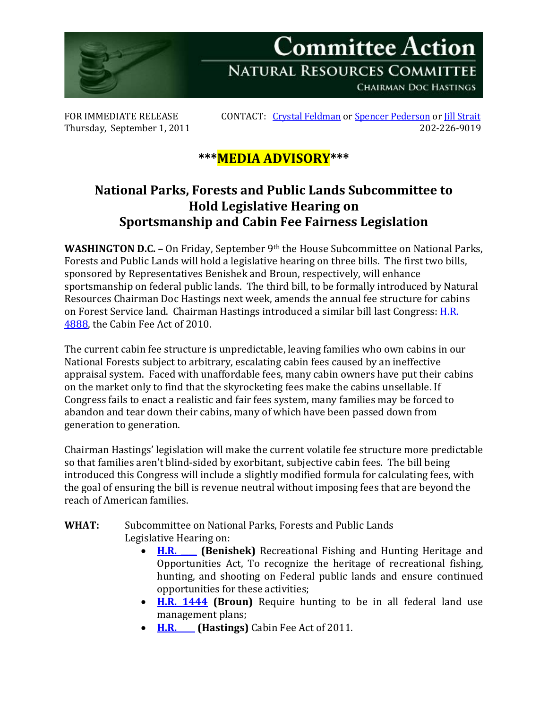

Thursday, September 1, 2011

FOR IMMEDIATE RELEASE CONTACT: [Crystal Feldman](mailto:crystal.feldman@mail.house.gov) o[r Spencer Pederson](mailto:spencer.pederson@mail.house.gov) or [Jill Strait](mailto:jill.strait@mail.house.gov)<br>Thursdav. September 1. 2011

## **\*\*\*MEDIA ADVISORY\*\*\***

## **National Parks, Forests and Public Lands Subcommittee to Hold Legislative Hearing on Sportsmanship and Cabin Fee Fairness Legislation**

**WASHINGTON D.C. –** On Friday, September 9th the House Subcommittee on National Parks, Forests and Public Lands will hold a legislative hearing on three bills. The first two bills, sponsored by Representatives Benishek and Broun, respectively, will enhance sportsmanship on federal public lands. The third bill, to be formally introduced by Natural Resources Chairman Doc Hastings next week, amends the annual fee structure for cabins on Forest Service land. Chairman Hastings introduced a similar bill last Congress: [H.R.](http://www.gpo.gov/fdsys/pkg/BILLS-111hr4888rh/pdf/BILLS-111hr4888rh.pdf)  [4888,](http://www.gpo.gov/fdsys/pkg/BILLS-111hr4888rh/pdf/BILLS-111hr4888rh.pdf) the Cabin Fee Act of 2010.

The current cabin fee structure is unpredictable, leaving families who own cabins in our National Forests subject to arbitrary, escalating cabin fees caused by an ineffective appraisal system. Faced with unaffordable fees, many cabin owners have put their cabins on the market only to find that the skyrocketing fees make the cabins unsellable. If Congress fails to enact a realistic and fair fees system, many families may be forced to abandon and tear down their cabins, many of which have been passed down from generation to generation.

Chairman Hastings' legislation will make the current volatile fee structure more predictable so that families aren't blind-sided by exorbitant, subjective cabin fees. The bill being introduced this Congress will include a slightly modified formula for calculating fees, with the goal of ensuring the bill is revenue neutral without imposing fees that are beyond the reach of American families.

## **WHAT:** Subcommittee on National Parks, Forests and Public Lands Legislative Hearing on:

- **[H.R. \\_\\_\\_\\_](http://naturalresources.house.gov/UploadedFiles/09.09.11HR2.pdf) (Benishek)** Recreational Fishing and Hunting Heritage and Opportunities Act, To recognize the heritage of recreational fishing, hunting, and shooting on Federal public lands and ensure continued opportunities for these activities;
- **[H.R. 1444](http://thomas.loc.gov/cgi-bin/query/z?c112:H.R.1444:) (Broun)** Require hunting to be in all federal land use management plans;
- **[H.R. \\_\\_\\_\\_](http://naturalresources.house.gov/UploadedFiles/09.09.11HR1.pdf) (Hastings)** Cabin Fee Act of 2011.